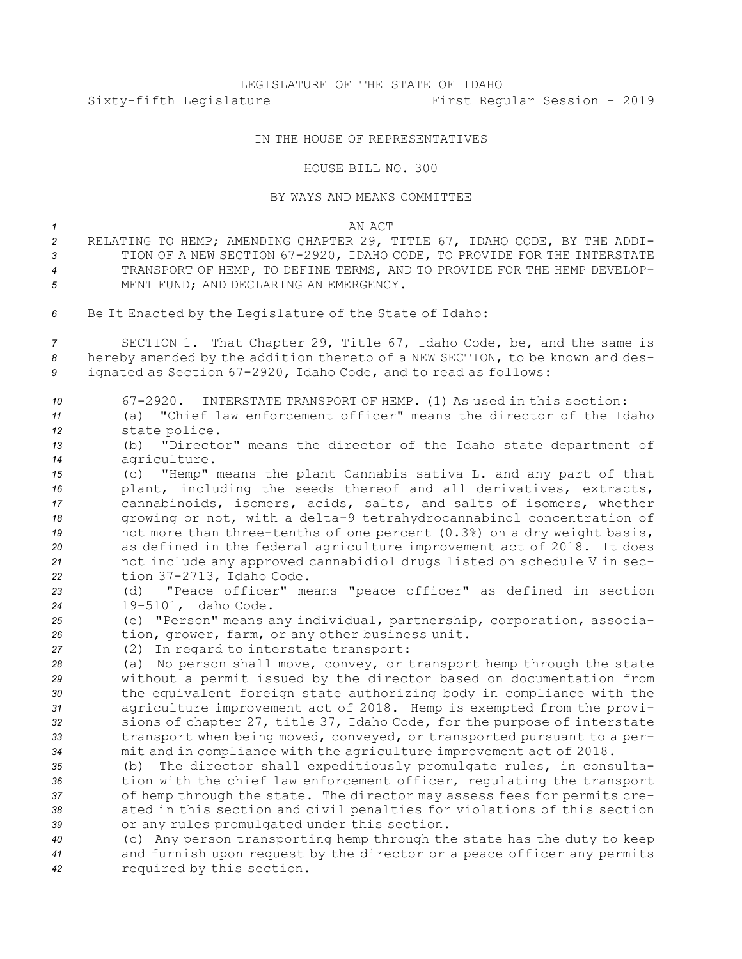# LEGISLATURE OF THE STATE OF IDAHO Sixty-fifth Legislature First Regular Session - 2019

## IN THE HOUSE OF REPRESENTATIVES

### HOUSE BILL NO. 300

#### BY WAYS AND MEANS COMMITTEE

#### *1* AN ACT

- *<sup>2</sup>* RELATING TO HEMP; AMENDING CHAPTER 29, TITLE 67, IDAHO CODE, BY THE ADDI-*<sup>3</sup>* TION OF A NEW SECTION 67-2920, IDAHO CODE, TO PROVIDE FOR THE INTERSTATE *4* TRANSPORT OF HEMP, TO DEFINE TERMS, AND TO PROVIDE FOR THE HEMP DEVELOP-*5* MENT FUND; AND DECLARING AN EMERGENCY.
- *<sup>6</sup>* Be It Enacted by the Legislature of the State of Idaho:

*<sup>7</sup>* SECTION 1. That Chapter 29, Title 67, Idaho Code, be, and the same is *<sup>8</sup>* hereby amended by the addition thereto of <sup>a</sup> NEW SECTION, to be known and des-*<sup>9</sup>* ignated as Section 67-2920, Idaho Code, and to read as follows:

| 10 | 67-2920. INTERSTATE TRANSPORT OF HEMP. (1) As used in this section:      |
|----|--------------------------------------------------------------------------|
| 11 | (a) "Chief law enforcement officer" means the director of the Idaho      |
| 12 | state police.                                                            |
| 13 | (b) "Director" means the director of the Idaho state department of       |
| 14 | agriculture.                                                             |
| 15 | "Hemp" means the plant Cannabis sativa L. and any part of that<br>(C)    |
| 16 | plant, including the seeds thereof and all derivatives, extracts,        |
| 17 | cannabinoids, isomers, acids, salts, and salts of isomers, whether       |
| 18 | growing or not, with a delta-9 tetrahydrocannabinol concentration of     |
| 19 | not more than three-tenths of one percent (0.3%) on a dry weight basis,  |
| 20 | as defined in the federal agriculture improvement act of 2018. It does   |
| 21 | not include any approved cannabidiol drugs listed on schedule V in sec-  |
| 22 | tion 37-2713, Idaho Code.                                                |
| 23 | "Peace officer" means "peace officer" as defined in section<br>(d)       |
| 24 | 19-5101, Idaho Code.                                                     |
| 25 | (e) "Person" means any individual, partnership, corporation, associa-    |
| 26 | tion, grower, farm, or any other business unit.                          |
| 27 | (2) In regard to interstate transport:                                   |
| 28 | (a) No person shall move, convey, or transport hemp through the state    |
| 29 | without a permit issued by the director based on documentation from      |
| 30 | the equivalent foreign state authorizing body in compliance with the     |
| 31 | agriculture improvement act of 2018. Hemp is exempted from the provi-    |
| 32 | sions of chapter 27, title 37, Idaho Code, for the purpose of interstate |
| 33 | transport when being moved, conveyed, or transported pursuant to a per-  |
| 34 | mit and in compliance with the agriculture improvement act of 2018.      |
| 35 | The director shall expeditiously promulgate rules, in consulta-<br>(b)   |
| 36 | tion with the chief law enforcement officer, regulating the transport    |
| 37 | of hemp through the state. The director may assess fees for permits cre- |
| 38 | ated in this section and civil penalties for violations of this section  |
| 39 | or any rules promulgated under this section.                             |
| 40 | (c) Any person transporting hemp through the state has the duty to keep  |
| 41 | and furnish upon request by the director or a peace officer any permits  |
| 42 | required by this section.                                                |